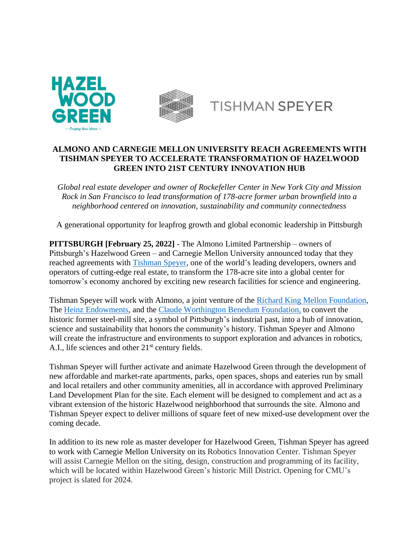



## **TISHMAN SPEYER**

## **ALMONO AND CARNEGIE MELLON UNIVERSITY REACH AGREEMENTS WITH TISHMAN SPEYER TO ACCELERATE TRANSFORMATION OF HAZELWOOD GREEN INTO 21ST CENTURY INNOVATION HUB**

*Global real estate developer and owner of Rockefeller Center in New York City and Mission Rock in San Francisco to lead transformation of 178-acre former urban brownfield into a neighborhood centered on innovation, sustainability and community connectedness*

A generational opportunity for leapfrog growth and global economic leadership in Pittsburgh

**PITTSBURGH [February 25, 2022]** - The Almono Limited Partnership – owners of Pittsburgh's Hazelwood Green – and Carnegie Mellon University announced today that they reached agreements with [Tishman](https://tishmanspeyer.com/) Speyer, one of the world's leading developers, owners and operators of cutting-edge real estate, to transform the 178-acre site into a global center for tomorrow's economy anchored by exciting new research facilities for science and engineering.

Tishman Speyer will work with Almono, a joint venture of the Richard King Mellon [Foundation,](https://www.rkmf.org/) The Heinz [Endowments,](https://www.heinz.org/) and the Claude [Worthington](https://benedum.org/) Benedum Foundation, to convert the historic former steel-mill site, a symbol of Pittsburgh's industrial past, into a hub of innovation, science and sustainability that honors the community's history. Tishman Speyer and Almono will create the infrastructure and environments to support exploration and advances in robotics, A.I., life sciences and other  $21<sup>st</sup>$  century fields.

Tishman Speyer will further activate and animate Hazelwood Green through the development of new affordable and market-rate apartments, parks, open spaces, shops and eateries run by small and local retailers and other community amenities, all in accordance with approved Preliminary Land Development Plan for the site. Each element will be designed to complement and act as a vibrant extension of the historic Hazelwood neighborhood that surrounds the site. Almono and Tishman Speyer expect to deliver millions of square feet of new mixed-use development over the coming decade.

In addition to its new role as master developer for Hazelwood Green, Tishman Speyer has agreed to work with Carnegie Mellon University on its Robotics Innovation Center. Tishman Speyer will assist Carnegie Mellon on the siting, design, construction and programming of its facility, which will be located within Hazelwood Green's historic Mill District. Opening for CMU's project is slated for 2024.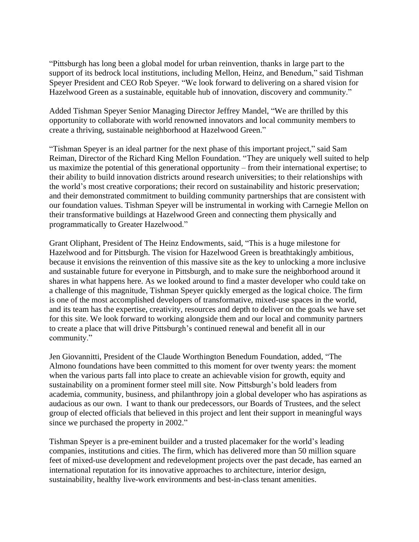"Pittsburgh has long been a global model for urban reinvention, thanks in large part to the support of its bedrock local institutions, including Mellon, Heinz, and Benedum," said Tishman Speyer President and CEO Rob Speyer. "We look forward to delivering on a shared vision for Hazelwood Green as a sustainable, equitable hub of innovation, discovery and community."

Added Tishman Speyer Senior Managing Director Jeffrey Mandel, "We are thrilled by this opportunity to collaborate with world renowned innovators and local community members to create a thriving, sustainable neighborhood at Hazelwood Green."

"Tishman Speyer is an ideal partner for the next phase of this important project," said Sam Reiman, Director of the Richard King Mellon Foundation. "They are uniquely well suited to help us maximize the potential of this generational opportunity – from their international expertise; to their ability to build innovation districts around research universities; to their relationships with the world's most creative corporations; their record on sustainability and historic preservation; and their demonstrated commitment to building community partnerships that are consistent with our foundation values. Tishman Speyer will be instrumental in working with Carnegie Mellon on their transformative buildings at Hazelwood Green and connecting them physically and programmatically to Greater Hazelwood."

Grant Oliphant, President of The Heinz Endowments, said, "This is a huge milestone for Hazelwood and for Pittsburgh. The vision for Hazelwood Green is breathtakingly ambitious, because it envisions the reinvention of this massive site as the key to unlocking a more inclusive and sustainable future for everyone in Pittsburgh, and to make sure the neighborhood around it shares in what happens here. As we looked around to find a master developer who could take on a challenge of this magnitude, Tishman Speyer quickly emerged as the logical choice. The firm is one of the most accomplished developers of transformative, mixed-use spaces in the world, and its team has the expertise, creativity, resources and depth to deliver on the goals we have set for this site. We look forward to working alongside them and our local and community partners to create a place that will drive Pittsburgh's continued renewal and benefit all in our community."

Jen Giovannitti, President of the Claude Worthington Benedum Foundation, added, "The Almono foundations have been committed to this moment for over twenty years: the moment when the various parts fall into place to create an achievable vision for growth, equity and sustainability on a prominent former steel mill site. Now Pittsburgh's bold leaders from academia, community, business, and philanthropy join a global developer who has aspirations as audacious as our own. I want to thank our predecessors, our Boards of Trustees, and the select group of elected officials that believed in this project and lent their support in meaningful ways since we purchased the property in 2002."

Tishman Speyer is a pre-eminent builder and a trusted placemaker for the world's leading companies, institutions and cities. The firm, which has delivered more than 50 million square feet of mixed-use development and redevelopment projects over the past decade, has earned an international reputation for its innovative approaches to architecture, interior design, sustainability, healthy live-work environments and best-in-class tenant amenities.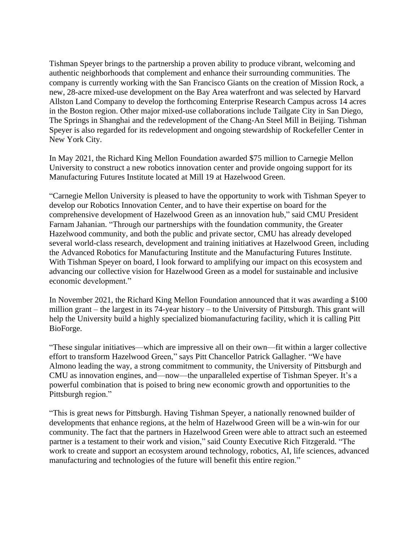Tishman Speyer brings to the partnership a proven ability to produce vibrant, welcoming and authentic neighborhoods that complement and enhance their surrounding communities. The company is currently working with the San Francisco Giants on the creation of Mission Rock, a new, 28-acre mixed-use development on the Bay Area waterfront and was selected by Harvard Allston Land Company to develop the forthcoming Enterprise Research Campus across 14 acres in the Boston region. Other major mixed-use collaborations include Tailgate City in San Diego, The Springs in Shanghai and the redevelopment of the Chang-An Steel Mill in Beijing. Tishman Speyer is also regarded for its redevelopment and ongoing stewardship of Rockefeller Center in New York City.

In May 2021, the Richard King Mellon Foundation awarded \$75 million to Carnegie Mellon University to construct a new robotics innovation center and provide ongoing support for its Manufacturing Futures Institute located at Mill 19 at Hazelwood Green.

"Carnegie Mellon University is pleased to have the opportunity to work with Tishman Speyer to develop our Robotics Innovation Center, and to have their expertise on board for the comprehensive development of Hazelwood Green as an innovation hub," said CMU President Farnam Jahanian. "Through our partnerships with the foundation community, the Greater Hazelwood community, and both the public and private sector, CMU has already developed several world-class research, development and training initiatives at Hazelwood Green, including the Advanced Robotics for Manufacturing Institute and the Manufacturing Futures Institute. With Tishman Speyer on board, I look forward to amplifying our impact on this ecosystem and advancing our collective vision for Hazelwood Green as a model for sustainable and inclusive economic development."

In November 2021, the Richard King Mellon Foundation announced that it was awarding a \$100 million grant – the largest in its 74-year history – to the University of Pittsburgh. This grant will help the University build a highly specialized biomanufacturing facility, which it is calling Pitt BioForge.

"These singular initiatives—which are impressive all on their own—fit within a larger collective effort to transform Hazelwood Green," says Pitt Chancellor Patrick Gallagher. "We have Almono leading the way, a strong commitment to community, the University of Pittsburgh and CMU as innovation engines, and—now—the unparalleled expertise of Tishman Speyer. It's a powerful combination that is poised to bring new economic growth and opportunities to the Pittsburgh region."

"This is great news for Pittsburgh. Having Tishman Speyer, a nationally renowned builder of developments that enhance regions, at the helm of Hazelwood Green will be a win-win for our community. The fact that the partners in Hazelwood Green were able to attract such an esteemed partner is a testament to their work and vision," said County Executive Rich Fitzgerald. "The work to create and support an ecosystem around technology, robotics, AI, life sciences, advanced manufacturing and technologies of the future will benefit this entire region."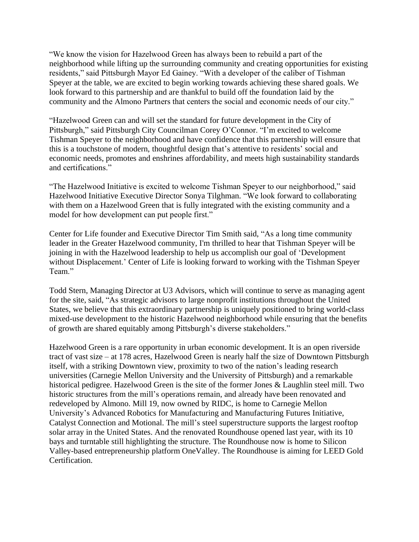"We know the vision for Hazelwood Green has always been to rebuild a part of the neighborhood while lifting up the surrounding community and creating opportunities for existing residents," said Pittsburgh Mayor Ed Gainey. "With a developer of the caliber of Tishman Speyer at the table, we are excited to begin working towards achieving these shared goals. We look forward to this partnership and are thankful to build off the foundation laid by the community and the Almono Partners that centers the social and economic needs of our city."

"Hazelwood Green can and will set the standard for future development in the City of Pittsburgh," said Pittsburgh City Councilman Corey O'Connor. "I'm excited to welcome Tishman Speyer to the neighborhood and have confidence that this partnership will ensure that this is a touchstone of modern, thoughtful design that's attentive to residents' social and economic needs, promotes and enshrines affordability, and meets high sustainability standards and certifications."

"The Hazelwood Initiative is excited to welcome Tishman Speyer to our neighborhood," said Hazelwood Initiative Executive Director Sonya Tilghman. "We look forward to collaborating with them on a Hazelwood Green that is fully integrated with the existing community and a model for how development can put people first."

Center for Life founder and Executive Director Tim Smith said, "As a long time community leader in the Greater Hazelwood community, I'm thrilled to hear that Tishman Speyer will be joining in with the Hazelwood leadership to help us accomplish our goal of 'Development without Displacement.' Center of Life is looking forward to working with the Tishman Speyer Team."

Todd Stern, Managing Director at U3 Advisors, which will continue to serve as managing agent for the site, said, "As strategic advisors to large nonprofit institutions throughout the United States, we believe that this extraordinary partnership is uniquely positioned to bring world-class mixed-use development to the historic Hazelwood neighborhood while ensuring that the benefits of growth are shared equitably among Pittsburgh's diverse stakeholders."

Hazelwood Green is a rare opportunity in urban economic development. It is an open riverside tract of vast size – at 178 acres, Hazelwood Green is nearly half the size of Downtown Pittsburgh itself, with a striking Downtown view, proximity to two of the nation's leading research universities (Carnegie Mellon University and the University of Pittsburgh) and a remarkable historical pedigree. Hazelwood Green is the site of the former Jones & Laughlin steel mill. Two historic structures from the mill's operations remain, and already have been renovated and redeveloped by Almono. Mill 19, now owned by RIDC, is home to Carnegie Mellon University's Advanced Robotics for Manufacturing and Manufacturing Futures Initiative, Catalyst Connection and Motional. The mill's steel superstructure supports the largest rooftop solar array in the United States. And the renovated Roundhouse opened last year, with its 10 bays and turntable still highlighting the structure. The Roundhouse now is home to Silicon Valley-based entrepreneurship platform OneValley. The Roundhouse is aiming for LEED Gold Certification.